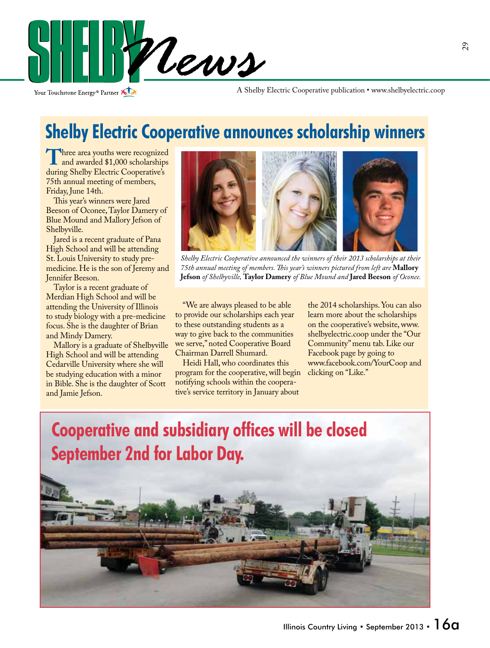

Your Touchstone Energy<sup>®</sup> Partner

A Shelby Electric Cooperative publication • www.shelbyelectric.coop

### **Shelby Electric Cooperative announces scholarship winners**

Three area youths were recognized and awarded \$1,000 scholarships during Shelby Electric Cooperative's 75th annual meeting of members, Friday, June 14th.

 This year's winners were Jared Beeson of Oconee, Taylor Damery of Blue Mound and Mallory Jefson of Shelbyville.

 Jared is a recent graduate of Pana High School and will be attending St. Louis University to study premedicine. He is the son of Jeremy and Jennifer Beeson.

 Taylor is a recent graduate of Merdian High School and will be attending the University of Illinois to study biology with a pre-medicine focus. She is the daughter of Brian and Mindy Damery.

 Mallory is a graduate of Shelbyville High School and will be attending Cedarville University where she will be studying education with a minor in Bible. She is the daughter of Scott and Jamie Jefson.



*Shelby Electric Cooperative announced the winners of their 2013 scholarships at their 75th annual meeting of members. This year's winners pictured from left are* **Mallory Jefson** *of Shelbyville,* **Taylor Damery** *of Blue Mound and* **Jared Beeson** *of Oconee.* 

 "We are always pleased to be able to provide our scholarships each year to these outstanding students as a way to give back to the communities we serve," noted Cooperative Board Chairman Darrell Shumard.

 Heidi Hall, who coordinates this program for the cooperative, will begin notifying schools within the cooperative's service territory in January about

the 2014 scholarships. You can also learn more about the scholarships on the cooperative's website, www. shelbyelectric.coop under the "Our Community" menu tab. Like our Facebook page by going to www.facebook.com/YourCoop and clicking on "Like."

## **Cooperative and subsidiary offices will be closed September 2nd for Labor Day.**

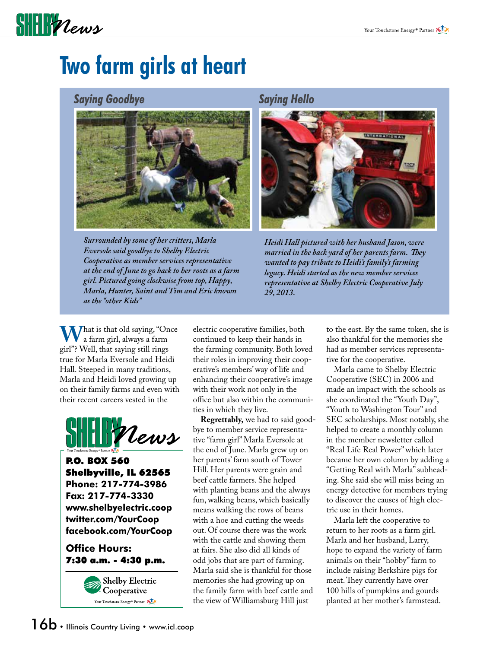## SHIPPLews

## **Two farm girls at heart**

#### *Saying Goodbye Saying Hello*



*Surrounded by some of her critters, Marla Eversole said goodbye to Shelby Electric Cooperative as member services representative at the end of June to go back to her roots as a farm girl. Pictured going clockwise from top, Happy, Marla, Hunter, Saint and Tim and Eric known as the "other Kids"*



*Heidi Hall pictured with her husband Jason, were married in the back yard of her parents farm. They wanted to pay tribute to Heidi's family's farming legacy. Heidi started as the new member services representative at Shelby Electric Cooperative July 29, 2013.*

**What is that old saying, "Once**<br>a farm girl, always a farm<br>girl"? Well that saying still rings girl"? Well, that saying still rings true for Marla Eversole and Heidi Hall. Steeped in many traditions, Marla and Heidi loved growing up on their family farms and even with their recent careers vested in the



P.O. BOX 560 Shelbyville, IL 62565 **Phone: 217-774-3986 Fax: 217-774-3330 www.shelbyelectric.coop twitter.com/YourCoop facebook.com/YourCoop**

**Office Hours:** 7:30 a.m. - 4:30 p.m.



electric cooperative families, both continued to keep their hands in the farming community. Both loved their roles in improving their cooperative's members' way of life and enhancing their cooperative's image with their work not only in the office but also within the communities in which they live.

**Regrettably,** we had to said goodbye to member service representative "farm girl" Marla Eversole at the end of June. Marla grew up on her parents' farm south of Tower Hill. Her parents were grain and beef cattle farmers. She helped with planting beans and the always fun, walking beans, which basically means walking the rows of beans with a hoe and cutting the weeds out. Of course there was the work with the cattle and showing them at fairs. She also did all kinds of odd jobs that are part of farming. Marla said she is thankful for those memories she had growing up on the family farm with beef cattle and the view of Williamsburg Hill just

to the east. By the same token, she is also thankful for the memories she had as member services representative for the cooperative.

 Marla came to Shelby Electric Cooperative (SEC) in 2006 and made an impact with the schools as she coordinated the "Youth Day", "Youth to Washington Tour" and SEC scholarships. Most notably, she helped to create a monthly column in the member newsletter called "Real Life Real Power" which later became her own column by adding a "Getting Real with Marla" subheading. She said she will miss being an energy detective for members trying to discover the causes of high electric use in their homes.

 Marla left the cooperative to return to her roots as a farm girl. Marla and her husband, Larry, hope to expand the variety of farm animals on their "hobby" farm to include raising Berkshire pigs for meat. They currently have over 100 hills of pumpkins and gourds planted at her mother's farmstead.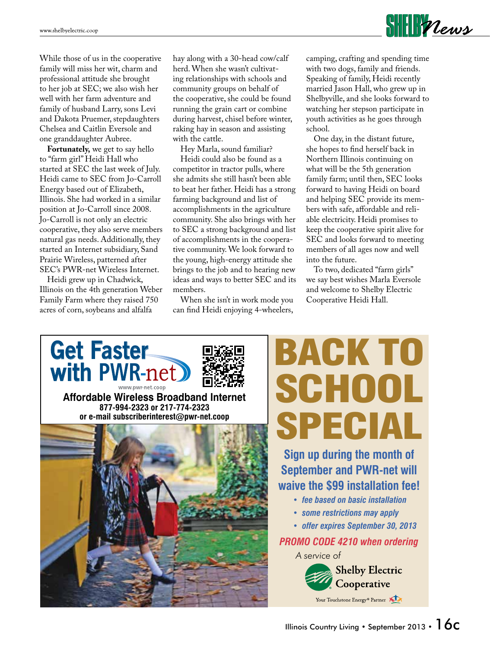

While those of us in the cooperative family will miss her wit, charm and professional attitude she brought to her job at SEC; we also wish her well with her farm adventure and family of husband Larry, sons Levi and Dakota Pruemer, stepdaughters Chelsea and Caitlin Eversole and one granddaughter Aubree.

**Fortunately,** we get to say hello to "farm girl" Heidi Hall who started at SEC the last week of July. Heidi came to SEC from Jo-Carroll Energy based out of Elizabeth, Illinois. She had worked in a similar position at Jo-Carroll since 2008. Jo-Carroll is not only an electric cooperative, they also serve members natural gas needs. Additionally, they started an Internet subsidiary, Sand Prairie Wireless, patterned after SEC's PWR-net Wireless Internet.

 Heidi grew up in Chadwick, Illinois on the 4th generation Weber Family Farm where they raised 750 acres of corn, soybeans and alfalfa

hay along with a 30-head cow/calf herd. When she wasn't cultivating relationships with schools and community groups on behalf of the cooperative, she could be found running the grain cart or combine during harvest, chisel before winter, raking hay in season and assisting with the cattle.

 Hey Marla, sound familiar? Heidi could also be found as a competitor in tractor pulls, where she admits she still hasn't been able to beat her father. Heidi has a strong farming background and list of accomplishments in the agriculture community. She also brings with her to SEC a strong background and list of accomplishments in the cooperative community. We look forward to the young, high-energy attitude she brings to the job and to hearing new ideas and ways to better SEC and its members.

 When she isn't in work mode you can find Heidi enjoying 4-wheelers,

camping, crafting and spending time with two dogs, family and friends. Speaking of family, Heidi recently married Jason Hall, who grew up in Shelbyville, and she looks forward to watching her stepson participate in youth activities as he goes through school.

 One day, in the distant future, she hopes to find herself back in Northern Illinois continuing on what will be the 5th generation family farm; until then, SEC looks forward to having Heidi on board and helping SEC provide its members with safe, affordable and reliable electricity. Heidi promises to keep the cooperative spirit alive for SEC and looks forward to meeting members of all ages now and well into the future.

 To two, dedicated "farm girls" we say best wishes Marla Eversole and welcome to Shelby Electric Cooperative Heidi Hall.



# BACK TO SCHOOL SPECIAL

**Sign up during the month of September and PWR-net will waive the \$99 installation fee!**

- *• fee based on basic installation*
- *• some restrictions may apply*
- *• offer expires September 30, 2013*

#### *PROMO CODE 4210 when ordering*

*A service of*